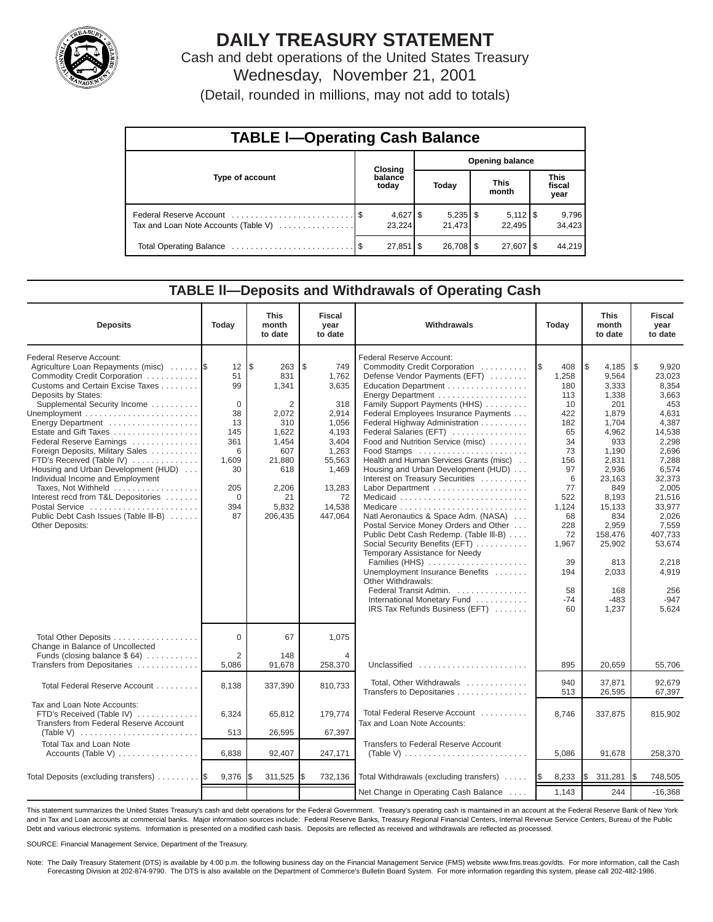

# **DAILY TREASURY STATEMENT**

Cash and debt operations of the United States Treasury Wednesday, November 21, 2001 (Detail, rounded in millions, may not add to totals)

| <b>TABLE I-Operating Cash Balance</b> |  |                        |  |                        |  |                              |  |                               |  |
|---------------------------------------|--|------------------------|--|------------------------|--|------------------------------|--|-------------------------------|--|
| Type of account                       |  | Closing                |  | <b>Opening balance</b> |  |                              |  |                               |  |
|                                       |  | balance<br>today       |  | Today                  |  | <b>This</b><br>month         |  | <b>This</b><br>fiscal<br>year |  |
| Tax and Loan Note Accounts (Table V)  |  | $4,627$ \$<br>23.224   |  | $5,235$ \$<br>21,473   |  | $5,112$ $\sqrt{5}$<br>22.495 |  | 9,796<br>34,423               |  |
|                                       |  | $27,851$ $\frac{8}{3}$ |  | $26,708$ \$            |  | $27,607$ $\frac{1}{3}$       |  | 44.219                        |  |

#### **TABLE ll—Deposits and Withdrawals of Operating Cash**

| <b>Deposits</b>                                                                                                                                                                                                                                                                                                                                                                                                                                                                                                                                             | Today                                                                                                          | <b>This</b><br>month<br>to date                                                                                              | <b>Fiscal</b><br>year<br>to date                                                                                                        | Withdrawals                                                                                                                                                                                                                                                                                                                                                                                                                                                                                                                                                                                                                                                                                                                                                                                                                                   | Today                                                                                                                                                                         | <b>This</b><br>month<br>to date                                                                                                                                                                                                | <b>Fiscal</b><br>year<br>to date                                                                                                                                                                                                          |
|-------------------------------------------------------------------------------------------------------------------------------------------------------------------------------------------------------------------------------------------------------------------------------------------------------------------------------------------------------------------------------------------------------------------------------------------------------------------------------------------------------------------------------------------------------------|----------------------------------------------------------------------------------------------------------------|------------------------------------------------------------------------------------------------------------------------------|-----------------------------------------------------------------------------------------------------------------------------------------|-----------------------------------------------------------------------------------------------------------------------------------------------------------------------------------------------------------------------------------------------------------------------------------------------------------------------------------------------------------------------------------------------------------------------------------------------------------------------------------------------------------------------------------------------------------------------------------------------------------------------------------------------------------------------------------------------------------------------------------------------------------------------------------------------------------------------------------------------|-------------------------------------------------------------------------------------------------------------------------------------------------------------------------------|--------------------------------------------------------------------------------------------------------------------------------------------------------------------------------------------------------------------------------|-------------------------------------------------------------------------------------------------------------------------------------------------------------------------------------------------------------------------------------------|
| Federal Reserve Account:<br>Agriculture Loan Repayments (misc)<br>Commodity Credit Corporation<br>Customs and Certain Excise Taxes<br>Deposits by States:<br>Supplemental Security Income<br>Energy Department<br>Estate and Gift Taxes<br>Federal Reserve Earnings<br>Foreign Deposits, Military Sales<br>FTD's Received (Table IV)<br>Housing and Urban Development (HUD)<br>Individual Income and Employment<br>Taxes, Not Withheld<br>Interest recd from T&L Depositories<br>Postal Service<br>Public Debt Cash Issues (Table III-B)<br>Other Deposits: | 12<br>51<br>99<br>$\mathbf 0$<br>38<br>13<br>145<br>361<br>6<br>1,609<br>30<br>205<br>$\mathbf 0$<br>394<br>87 | l\$<br>263<br>831<br>1,341<br>2<br>2,072<br>310<br>1,622<br>1,454<br>607<br>21,880<br>618<br>2,206<br>21<br>5,832<br>206,435 | \$<br>749<br>1,762<br>3,635<br>318<br>2,914<br>1,056<br>4,193<br>3,404<br>1,263<br>55,563<br>1,469<br>13,283<br>72<br>14,538<br>447,064 | Federal Reserve Account:<br>Commodity Credit Corporation<br>Defense Vendor Payments (EFT)<br>Education Department<br>Energy Department<br>Family Support Payments (HHS)<br>Federal Employees Insurance Payments<br>Federal Highway Administration<br>Federal Salaries (EFT)<br>Food and Nutrition Service (misc)<br>Food Stamps<br>Health and Human Services Grants (misc)<br>Housing and Urban Development (HUD)<br>Interest on Treasury Securities<br>Labor Department<br>Natl Aeronautics & Space Adm. (NASA)<br>Postal Service Money Orders and Other<br>Public Debt Cash Redemp. (Table III-B)<br>Social Security Benefits (EFT)<br>Temporary Assistance for Needy<br>Families (HHS)<br>Unemployment Insurance Benefits<br>Other Withdrawals:<br>Federal Transit Admin.<br>International Monetary Fund<br>IRS Tax Refunds Business (EFT) | 408<br>1\$<br>1,258<br>180<br>113<br>10<br>422<br>182<br>65<br>34<br>73<br>156<br>97<br>6<br>77<br>522<br>1,124<br>68<br>228<br>72<br>1,967<br>39<br>194<br>58<br>$-74$<br>60 | l\$<br>4,185<br>9,564<br>3,333<br>1,338<br>201<br>1,879<br>1,704<br>4,962<br>933<br>1,190<br>2,831<br>2,936<br>23,163<br>849<br>8,193<br>15,133<br>834<br>2,959<br>158,476<br>25,902<br>813<br>2,033<br>168<br>$-483$<br>1,237 | 1\$<br>9,920<br>23,023<br>8,354<br>3,663<br>453<br>4,631<br>4,387<br>14,538<br>2,298<br>2,696<br>7,288<br>6,574<br>32,373<br>2,005<br>21,516<br>33,977<br>2,026<br>7,559<br>407,733<br>53.674<br>2.218<br>4,919<br>256<br>$-947$<br>5,624 |
| Total Other Deposits<br>Change in Balance of Uncollected<br>Funds (closing balance $$64)$                                                                                                                                                                                                                                                                                                                                                                                                                                                                   | $\Omega$<br>$\overline{2}$                                                                                     | 67<br>148                                                                                                                    | 1,075                                                                                                                                   |                                                                                                                                                                                                                                                                                                                                                                                                                                                                                                                                                                                                                                                                                                                                                                                                                                               |                                                                                                                                                                               |                                                                                                                                                                                                                                |                                                                                                                                                                                                                                           |
| Transfers from Depositaries                                                                                                                                                                                                                                                                                                                                                                                                                                                                                                                                 | 5,086                                                                                                          | 91,678                                                                                                                       | 258,370                                                                                                                                 | Unclassified                                                                                                                                                                                                                                                                                                                                                                                                                                                                                                                                                                                                                                                                                                                                                                                                                                  | 895                                                                                                                                                                           | 20,659                                                                                                                                                                                                                         | 55,706                                                                                                                                                                                                                                    |
| Total Federal Reserve Account                                                                                                                                                                                                                                                                                                                                                                                                                                                                                                                               | 8,138                                                                                                          | 337,390                                                                                                                      | 810,733                                                                                                                                 | Total, Other Withdrawals<br>Transfers to Depositaries                                                                                                                                                                                                                                                                                                                                                                                                                                                                                                                                                                                                                                                                                                                                                                                         | 940<br>513                                                                                                                                                                    | 37.871<br>26,595                                                                                                                                                                                                               | 92.679<br>67,397                                                                                                                                                                                                                          |
| Tax and Loan Note Accounts:<br>FTD's Received (Table IV)<br>Transfers from Federal Reserve Account                                                                                                                                                                                                                                                                                                                                                                                                                                                          | 6,324                                                                                                          | 65,812                                                                                                                       | 179,774                                                                                                                                 | Total Federal Reserve Account<br>Tax and Loan Note Accounts:                                                                                                                                                                                                                                                                                                                                                                                                                                                                                                                                                                                                                                                                                                                                                                                  | 8,746                                                                                                                                                                         | 337,875                                                                                                                                                                                                                        | 815,902                                                                                                                                                                                                                                   |
| <b>Total Tax and Loan Note</b><br>Accounts (Table V)                                                                                                                                                                                                                                                                                                                                                                                                                                                                                                        | 513<br>6,838                                                                                                   | 26,595<br>92,407                                                                                                             | 67,397<br>247,171                                                                                                                       | Transfers to Federal Reserve Account                                                                                                                                                                                                                                                                                                                                                                                                                                                                                                                                                                                                                                                                                                                                                                                                          | 5,086                                                                                                                                                                         | 91,678                                                                                                                                                                                                                         | 258,370                                                                                                                                                                                                                                   |
| Total Deposits (excluding transfers)                                                                                                                                                                                                                                                                                                                                                                                                                                                                                                                        | 9,376                                                                                                          | 311,525                                                                                                                      | 732,136                                                                                                                                 | Total Withdrawals (excluding transfers)                                                                                                                                                                                                                                                                                                                                                                                                                                                                                                                                                                                                                                                                                                                                                                                                       | 8,233<br>I\$                                                                                                                                                                  | I\$<br>311,281                                                                                                                                                                                                                 | 748,505<br>I\$                                                                                                                                                                                                                            |
|                                                                                                                                                                                                                                                                                                                                                                                                                                                                                                                                                             |                                                                                                                |                                                                                                                              |                                                                                                                                         | Net Change in Operating Cash Balance                                                                                                                                                                                                                                                                                                                                                                                                                                                                                                                                                                                                                                                                                                                                                                                                          | 1,143                                                                                                                                                                         | 244                                                                                                                                                                                                                            | $-16,368$                                                                                                                                                                                                                                 |

This statement summarizes the United States Treasury's cash and debt operations for the Federal Government. Treasury's operating cash is maintained in an account at the Federal Reserve Bank of New York and in Tax and Loan accounts at commercial banks. Major information sources include: Federal Reserve Banks, Treasury Regional Financial Centers, Internal Revenue Service Centers, Bureau of the Public Debt and various electronic systems. Information is presented on a modified cash basis. Deposits are reflected as received and withdrawals are reflected as processed.

SOURCE: Financial Management Service, Department of the Treasury.

Note: The Daily Treasury Statement (DTS) is available by 4:00 p.m. the following business day on the Financial Management Service (FMS) website www.fms.treas.gov/dts. For more information, call the Cash Forecasting Division at 202-874-9790. The DTS is also available on the Department of Commerce's Bulletin Board System. For more information regarding this system, please call 202-482-1986.